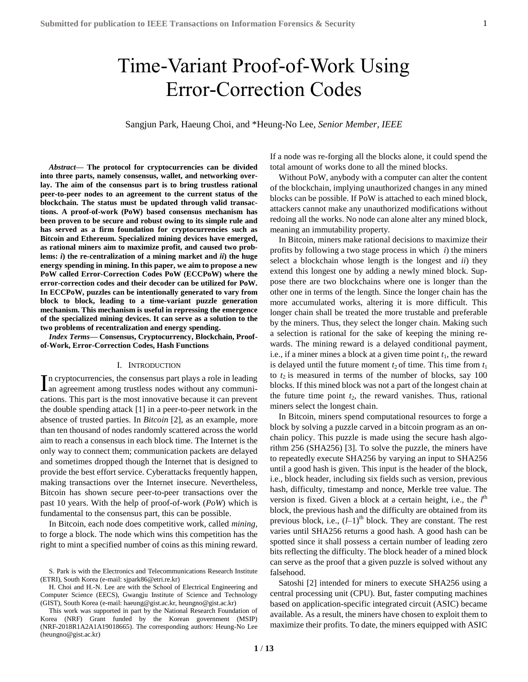# Time-Variant Proof-of-Work Using Error-Correction Codes

Sangjun Park, Haeung Choi, and \*Heung-No Lee, *Senior Member, IEEE*

*Abstract***— The protocol for cryptocurrencies can be divided into three parts, namely consensus, wallet, and networking overlay. The aim of the consensus part is to bring trustless rational peer-to-peer nodes to an agreement to the current status of the blockchain. The status must be updated through valid transactions. A proof-of-work (PoW) based consensus mechanism has been proven to be secure and robust owing to its simple rule and has served as a firm foundation for cryptocurrencies such as Bitcoin and Ethereum. Specialized mining devices have emerged, as rational miners aim to maximize profit, and caused two problems:** *i***) the re-centralization of a mining market and** *ii***) the huge energy spending in mining. In this paper, we aim to propose a new PoW called Error-Correction Codes PoW (ECCPoW) where the error-correction codes and their decoder can be utilized for PoW. In ECCPoW, puzzles can be intentionally generated to vary from block to block, leading to a time-variant puzzle generation mechanism. This mechanism is useful in repressing the emergence of the specialized mining devices. It can serve as a solution to the two problems of recentralization and energy spending.**

<span id="page-0-0"></span>*Index Terms***— Consensus, Cryptocurrency, Blockchain, Proofof-Work, Error-Correction Codes, Hash Functions**

#### I. INTRODUCTION

n cryptocurrencies, the consensus part plays a role in leading In cryptocurrencies, the consensus part plays a role in leading<br>an agreement among trustless nodes without any communications. This part is the most innovative because it can prevent the double spending attack [\[1\]](#page-11-0) in a peer-to-peer network in the absence of trusted parties. In *Bitcoin* [\[2\],](#page-11-1) as an example, more than ten thousand of nodes randomly scattered across the world aim to reach a consensus in each block time. The Internet is the only way to connect them; communication packets are delayed and sometimes dropped though the Internet that is designed to provide the best effort service. Cyberattacks frequently happen, making transactions over the Internet insecure. Nevertheless, Bitcoin has shown secure peer-to-peer transactions over the past 10 years. With the help of proof-of-work (*PoW*) which is fundamental to the consensus part, this can be possible.

In Bitcoin, each node does competitive work, called *mining*, to forge a block. The node which wins this competition has the right to mint a specified number of coins as this mining reward. If a node was re-forging all the blocks alone, it could spend the total amount of works done to all the mined blocks.

Without PoW, anybody with a computer can alter the content of the blockchain, implying unauthorized changes in any mined blocks can be possible. If PoW is attached to each mined block, attackers cannot make any unauthorized modifications without redoing all the works. No node can alone alter any mined block, meaning an immutability property.

In Bitcoin, miners make rational decisions to maximize their profits by following a two stage process in which *i*) the miners select a blockchain whose length is the longest and *ii*) they extend this longest one by adding a newly mined block. Suppose there are two blockchains where one is longer than the other one in terms of the length. Since the longer chain has the more accumulated works, altering it is more difficult. This longer chain shall be treated the more trustable and preferable by the miners. Thus, they select the longer chain. Making such a selection is rational for the sake of keeping the mining rewards. The mining reward is a delayed conditional payment, i.e., if a miner mines a block at a given time point  $t_1$ , the reward is delayed until the future moment  $t_2$  of time. This time from  $t_1$ to  $t_2$  is measured in terms of the number of blocks, say 100 blocks. If this mined block was not a part of the longest chain at the future time point  $t_2$ , the reward vanishes. Thus, rational miners select the longest chain.

In Bitcoin, miners spend computational resources to forge a block by solving a puzzle carved in a bitcoin program as an onchain policy. This puzzle is made using the secure hash algorithm 256 (SHA256) [\[3\].](#page-11-2) To solve the puzzle, the miners have to repeatedly execute SHA256 by varying an input to SHA256 until a good hash is given. This input is the header of the block, i.e., block header, including six fields such as version, previous hash, difficulty, timestamp and nonce, Merkle tree value. The version is fixed. Given a block at a certain height, i.e., the *l*<sup>th</sup> block, the previous hash and the difficulty are obtained from its previous block, i.e.,  $(l-1)$ <sup>th</sup> block. They are constant. The rest varies until SHA256 returns a good hash. A good hash can be spotted since it shall possess a certain number of leading zero bits reflecting the difficulty. The block header of a mined block can serve as the proof that a given puzzle is solved without any falsehood.

Satoshi [\[2\]](#page-11-1) intended for miners to execute SHA256 using a central processing unit (CPU). But, faster computing machines based on application-specific integrated circuit (ASIC) became available. As a result, the miners have chosen to exploit them to maximize their profits. To date, the miners equipped with ASIC

S. Park is with the Electronics and Telecommunications Research Institute (ETRI), South Korea (e-mail: sjpark86@etri.re.kr)

H. Choi and H.-N. Lee are with the School of Electrical Engineering and Computer Science (EECS), Gwangju Institute of Science and Technology (GIST), South Korea (e-mail: haeung@gist.ac.kr, heungno@gist.ac.kr)

This work was supported in part by the National Research Foundation of Korea (NRF) Grant funded by the Korean government (MSIP) (NRF-2018R1A2A1A19018665). The corresponding authors: Heung-No Lee (heungno@gist.ac.kr)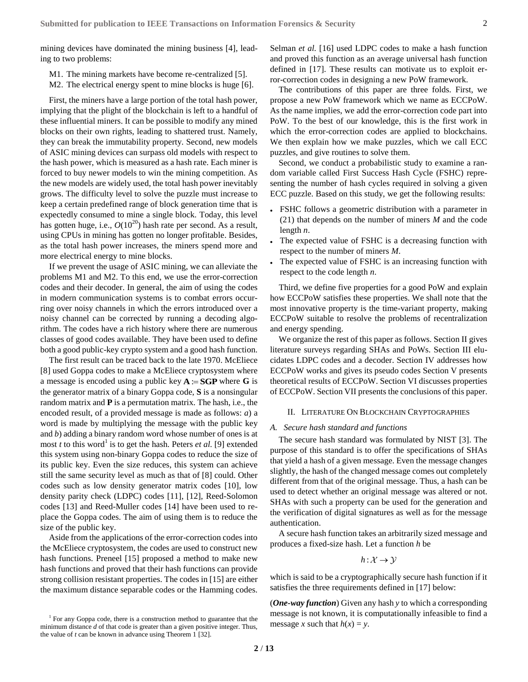mining devices have dominated the mining business [\[4\],](#page-11-3) leading to two problems:

- <span id="page-1-0"></span>M1. The mining markets have become re-centralize[d \[5\].](#page-11-4)
- <span id="page-1-1"></span>M2. The electrical energy spent to mine blocks is huge [\[6\].](#page-11-5)

First, the miners have a large portion of the total hash power, implying that the plight of the blockchain is left to a handful of these influential miners. It can be possible to modify any mined blocks on their own rights, leading to shattered trust. Namely, they can break the immutability property. Second, new models of ASIC mining devices can surpass old models with respect to the hash power, which is measured as a hash rate. Each miner is forced to buy newer models to win the mining competition. As the new models are widely used, the total hash power inevitably grows. The difficulty level to solve the puzzle must increase to keep a certain predefined range of block generation time that is expectedly consumed to mine a single block. Today, this level has gotten huge, i.e.,  $O(10^{20})$  hash rate per second. As a result, using CPUs in mining has gotten no longer profitable. Besides, as the total hash power increases, the miners spend more and more electrical energy to mine blocks.

If we prevent the usage of ASIC mining, we can alleviate the problems [M1](#page-1-0) and [M2.](#page-1-1) To this end, we use the error-correction codes and their decoder. In general, the aim of using the codes in modern communication systems is to combat errors occurring over noisy channels in which the errors introduced over a noisy channel can be corrected by running a decoding algorithm. The codes have a rich history where there are numerous classes of good codes available. They have been used to define both a good public-key crypto system and a good hash function.

The first result can be traced back to the late 1970. McEliece [\[8\]](#page-11-6) used Goppa codes to make a McEliece cryptosystem where a message is encoded using a public key  $A = SGP$  where G is the generator matrix of a binary Goppa code, **S** is a nonsingular random matrix and **P** is a permutation matrix. The hash, i.e., the encoded result, of a provided message is made as follows: *a*) a word is made by multiplying the message with the public key and *b*) adding a binary random word whose number of ones is at most *t* to this word<sup>1</sup> is to get the hash. Peters *et al.* [\[9\]](#page-11-7) extended this system using non-binary Goppa codes to reduce the size of its public key. Even the size reduces, this system can achieve still the same security level as much as that of [\[8\]](#page-11-6) could. Other codes such as low density generator matrix codes [\[10\],](#page-11-8) low density parity check (LDPC) codes [\[11\],](#page-12-0) [\[12\],](#page-12-1) Reed-Solomon codes [\[13\]](#page-12-2) and Reed-Muller codes [\[14\]](#page-12-3) have been used to replace the Goppa codes. The aim of using them is to reduce the size of the public key.

Aside from the applications of the error-correction codes into the McEliece cryptosystem, the codes are used to construct new hash functions. Preneel [\[15\]](#page-12-4) proposed a method to make new hash functions and proved that their hash functions can provide strong collision resistant properties. The codes in [\[15\]](#page-12-4) are either the maximum distance separable codes or the Hamming codes. Selman *et al.* [\[16\]](#page-12-6) used LDPC codes to make a hash function and proved this function as an average universal hash function defined in [\[17\].](#page-12-7) These results can motivate us to exploit error-correction codes in designing a new PoW framework.

The contributions of this paper are three folds. First, we propose a new PoW framework which we name as ECCPoW. As the name implies, we add the error-correction code part into PoW. To the best of our knowledge, this is the first work in which the error-correction codes are applied to blockchains. We then explain how we make puzzles, which we call ECC puzzles, and give routines to solve them.

Second, we conduct a probabilistic study to examine a random variable called First Success Hash Cycle (FSHC) representing the number of hash cycles required in solving a given ECC puzzle. Based on this study, we get the following results:

- FSHC follows a geometric distribution with a parameter in (21) that depends on the number of miners *M* and the code length *n*.
- The expected value of FSHC is a decreasing function with respect to the number of miners *M*.
- The expected value of FSHC is an increasing function with respect to the code length *n*.

Third, we define five properties for a good PoW and explain how ECCPoW satisfies these properties. We shall note that the most innovative property is the time-variant property, making ECCPoW suitable to resolve the problems of recentralization and energy spending.

We organize the rest of this paper as follows. Sectio[n II](#page-1-2) gives literature surveys regarding SHAs and PoWs. Section [III](#page-3-0) elucidates LDPC codes and a decoder. Section [IV](#page-5-0) addresses how ECCPoW works and gives its pseudo codes Section [V](#page-8-0) presents theoretical results of ECCPoW. Section [VI](#page-10-0) discusses properties of ECCPoW. Sectio[n VII](#page-11-9) presents the conclusions of this paper.

## <span id="page-1-2"></span>II. LITERATURE ON BLOCKCHAIN CRYPTOGRAPHIES

#### *A. Secure hash standard and functions*

The secure hash standard was formulated by NIST [\[3\].](#page-11-2) The purpose of this standard is to offer the specifications of SHAs that yield a hash of a given message. Even the message changes slightly, the hash of the changed message comes out completely different from that of the original message. Thus, a hash can be used to detect whether an original message was altered or not. SHAs with such a property can be used for the generation and the verification of digital signatures as well as for the message authentication.

A secure hash function takes an arbitrarily sized message and produces a fixed-size hash. Let a function *h* be

$$
h: \mathcal{X} \to \mathcal{Y}
$$

which is said to be a cryptographically secure hash function if it satisfies the three requirements defined i[n \[17\]](#page-12-7) below:

(*One-way function*) Given any hash *y* to which a corresponding message is not known, it is computationally infeasible to find a message *x* such that  $h(x) = y$ .

<sup>&</sup>lt;sup>1</sup> For any Goppa code, there is a construction method to guarantee that the minimum distance *d* of that code is greater than a given positive integer. Thus, the value of *t* can be known in advance using Theorem 1 [\[32\].](#page-12-5)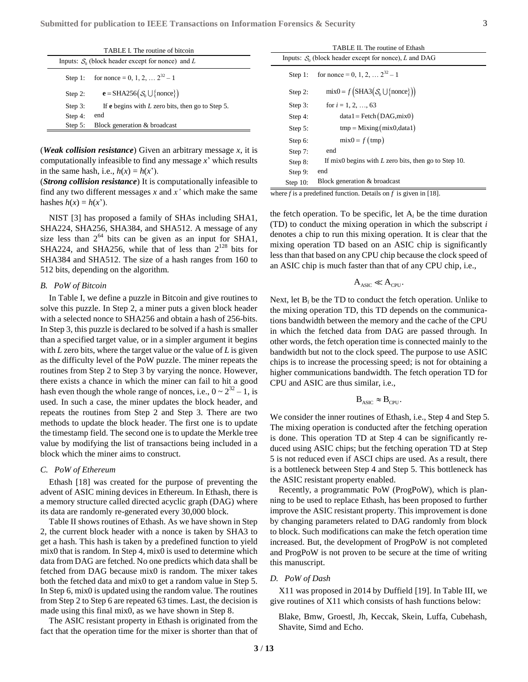| TABLE I. The routine of bitcoin                     |                                                                  |  |
|-----------------------------------------------------|------------------------------------------------------------------|--|
| Inputs: $S_0$ (block header except for nonce) and L |                                                                  |  |
| Step 1:                                             | for nonce = 0, 1, 2, $2^{32} - 1$                                |  |
| Step 2:                                             | $\mathbf{e} = \text{SHA256}(\mathcal{S}_0 \cup \{\text{none}\})$ |  |
| Step $3:$                                           | If <b>e</b> begins with $L$ zero bits, then go to Step 5.        |  |
| Step 4:                                             | end                                                              |  |
| Step $5:$                                           | Block generation & broadcast                                     |  |

(*Weak collision resistance*) Given an arbitrary message *x*, it is computationally infeasible to find any message *x*' which results in the same hash, i.e.,  $h(x) = h(x')$ .

(*Strong collision resistance*) It is computationally infeasible to find any two different messages *x* and *x'* which make the same hashes  $h(x) = h(x')$ .

NIST [\[3\]](#page-11-2) has proposed a family of SHAs including SHA1, SHA224, SHA256, SHA384, and SHA512. A message of any size less than  $2^{64}$  bits can be given as an input for SHA1, SHA224, and SHA256, while that of less than  $2^{128}$  bits for SHA384 and SHA512. The size of a hash ranges from 160 to 512 bits, depending on the algorithm.

# *B. PoW of Bitcoin*

In Table I, we define a puzzle in Bitcoin and give routines to solve this puzzle. In Step 2, a miner puts a given block header with a selected nonce to SHA256 and obtain a hash of 256-bits. In Step 3, this puzzle is declared to be solved if a hash is smaller than a specified target value, or in a simpler argument it begins with *L* zero bits, where the target value or the value of *L* is given as the difficulty level of the PoW puzzle. The miner repeats the routines from Step 2 to Step 3 by varying the nonce. However, there exists a chance in which the miner can fail to hit a good hash even though the whole range of nonces, i.e.,  $0 \sim 2^{32} - 1$ , is used. In such a case, the miner updates the block header, and repeats the routines from Step 2 and Step 3. There are two methods to update the block header. The first one is to update the timestamp field. The second one is to update the Merkle tree value by modifying the list of transactions being included in a block which the miner aims to construct.

#### <span id="page-2-1"></span>*C. PoW of Ethereum*

Ethash [\[18\]](#page-12-8) was created for the purpose of preventing the advent of ASIC mining devices in Ethereum. In Ethash, there is a memory structure called directed acyclic graph (DAG) where its data are randomly re-generated every 30,000 block.

Table II shows routines of Ethash. As we have shown in Step 2, the current block header with a nonce is taken by SHA3 to get a hash. This hash is taken by a predefined function to yield mix0 that is random. In Step 4, mix0 is used to determine which data from DAG are fetched. No one predicts which data shall be fetched from DAG because mix0 is random. The mixer takes both the fetched data and mix0 to get a random value in Step 5. In Step 6, mix0 is updated using the random value. The routines from Step 2 to Step 6 are repeated 63 times. Last, the decision is made using this final mix0, as we have shown in Step 8.

The ASIC resistant property in Ethash is originated from the fact that the operation time for the mixer is shorter than that of

| TABLE II. The routine of Ethash                          |                                                              |  |  |
|----------------------------------------------------------|--------------------------------------------------------------|--|--|
| Inputs: $S_0$ (block header except for nonce), L and DAG |                                                              |  |  |
| Step $1:$                                                | for nonce = 0, 1, 2, $2^{32} - 1$                            |  |  |
| Step $2$ :                                               | $mix0 = f(SHA3(S_0 \cup \{none\}))$                          |  |  |
| Step 3:                                                  | for $i = 1, 2, , 63$                                         |  |  |
| Step 4:                                                  | $data1 = Fetch(DAG, mix0)$                                   |  |  |
| Step $5$ :                                               | $tmp = Mixing(mix0, data1)$                                  |  |  |
| Step 6:                                                  | $mix0 = f (tmp)$                                             |  |  |
| Step 7:                                                  | end                                                          |  |  |
| Step 8:                                                  | If mix $\theta$ begins with L zero bits, then go to Step 10. |  |  |
| Step 9:                                                  | end                                                          |  |  |
| Step $10$ :                                              | Block generation & broadcast                                 |  |  |

where *f* is a predefined function. Details on *f* is given i[n \[18\].](#page-12-8)

the fetch operation. To be specific, let  $A_i$  be the time duration (TD) to conduct the mixing operation in which the subscript *i* denotes a chip to run this mixing operation. It is clear that the mixing operation TD based on an ASIC chip is significantly less than that based on any CPU chip because the clock speed of an ASIC chip is much faster than that of any CPU chip, i.e.,

$$
A_{\text{ASIC}} \ll A_{\text{CPU}}.
$$

Next, let  $B_i$  be the TD to conduct the fetch operation. Unlike to the mixing operation TD, this TD depends on the communications bandwidth between the memory and the cache of the CPU in which the fetched data from DAG are passed through. In other words, the fetch operation time is connected mainly to the bandwidth but not to the clock speed. The purpose to use ASIC chips is to increase the processing speed; is not for obtaining a higher communications bandwidth. The fetch operation TD for CPU and ASIC are thus similar, i.e.,

$$
\mathbf{B}_{\text{ASIC}} \approx \mathbf{B}_{\text{CPU}}.
$$

We consider the inner routines of Ethash, i.e., Step 4 and Step 5. The mixing operation is conducted after the fetching operation is done. This operation TD at Step 4 can be significantly reduced using ASIC chips; but the fetching operation TD at Step 5 is not reduced even if ASCI chips are used. As a result, there is a bottleneck between Step 4 and Step 5. This bottleneck has the ASIC resistant property enabled.

Recently, a programmatic PoW (ProgPoW), which is planning to be used to replace Ethash, has been proposed to further improve the ASIC resistant property. This improvement is done by changing parameters related to DAG randomly from block to block. Such modifications can make the fetch operation time increased. But, the development of ProgPoW is not completed and ProgPoW is not proven to be secure at the time of writing this manuscript.

# <span id="page-2-0"></span>*D. PoW of Dash*

**3** / **13**

X11 was proposed in 2014 by Duffield [\[19\].](#page-12-9) In Table III, we give routines of X11 which consists of hash functions below:

Blake, Bmw, Groestl, Jh, Keccak, Skein, Luffa, Cubehash, Shavite, Simd and Echo.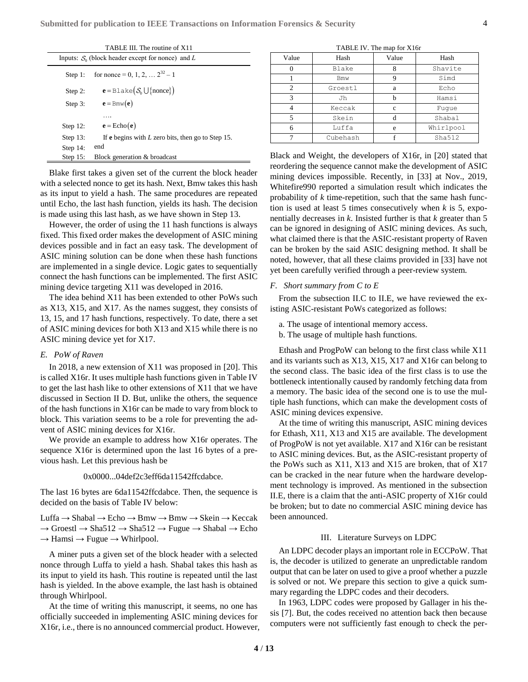| TABLE III. The routine of X11                       |                                                            |  |
|-----------------------------------------------------|------------------------------------------------------------|--|
| Inputs: $S_0$ (block header except for nonce) and L |                                                            |  |
| Step 1:                                             | for nonce = 0, 1, 2, $\ldots$ $2^{32} - 1$                 |  |
| Step $2$ :                                          | $e = \text{Blacke}(\mathcal{S}_0 \cup \{\text{none}\})$    |  |
| Step 3:                                             | $\mathbf{e} = \text{Bmw}(\mathbf{e})$                      |  |
|                                                     | .                                                          |  |
| Step $12$ :                                         | $e = Echo(e)$                                              |  |
| Step $13$ :                                         | If <b>e</b> begins with $L$ zero bits, then go to Step 15. |  |
| Step $14$ :                                         | end                                                        |  |
| Step 15:                                            | Block generation & broadcast                               |  |

Blake first takes a given set of the current the block header with a selected nonce to get its hash. Next, Bmw takes this hash as its input to yield a hash. The same procedures are repeated until Echo, the last hash function, yields its hash. The decision is made using this last hash, as we have shown in Step 13.

However, the order of using the 11 hash functions is always fixed. This fixed order makes the development of ASIC mining devices possible and in fact an easy task. The development of ASIC mining solution can be done when these hash functions are implemented in a single device. Logic gates to sequentially connect the hash functions can be implemented. The first ASIC mining device targeting X11 was developed in 2016.

The idea behind X11 has been extended to other PoWs such as X13, X15, and X17. As the names suggest, they consists of 13, 15, and 17 hash functions, respectively. To date, there a set of ASIC mining devices for both X13 and X15 while there is no ASIC mining device yet for X17.

## <span id="page-3-1"></span>*E. PoW of Raven*

In 2018, a new extension of X11 was proposed in [\[20\].](#page-12-10) This is called X16r. It uses multiple hash functions given in Table IV to get the last hash like to other extensions of X11 that we have discussed in Section [II](#page-1-2) [D.](#page-2-0) But, unlike the others, the sequence of the hash functions in X16r can be made to vary from block to block. This variation seems to be a role for preventing the advent of ASIC mining devices for X16r.

We provide an example to address how X16r operates. The sequence X16r is determined upon the last 16 bytes of a previous hash. Let this previous hash be

#### 0x0000...04def2c3eff6da11542ffcdabce.

The last 16 bytes are 6da11542ffcdabce. Then, the sequence is decided on the basis of Table IV below:

Luffa → Shabal → Echo → Bmw → Bmw → Skein → Keccak  $\rightarrow$  Groestl  $\rightarrow$  Sha512  $\rightarrow$  Sha512  $\rightarrow$  Fugue  $\rightarrow$  Shabal  $\rightarrow$  Echo  $\rightarrow$  Hamsi  $\rightarrow$  Fugue  $\rightarrow$  Whirlpool.

A miner puts a given set of the block header with a selected nonce through Luffa to yield a hash. Shabal takes this hash as its input to yield its hash. This routine is repeated until the last hash is yielded. In the above example, the last hash is obtained through Whirlpool.

At the time of writing this manuscript, it seems, no one has officially succeeded in implementing ASIC mining devices for X16r, i.e., there is no announced commercial product. However,

TABLE IV. The map for X16r

| Value          | Hash       | Value | Hash      |
|----------------|------------|-------|-----------|
|                | Blake      |       | Shavite   |
|                | <b>Bmw</b> | Q     | Simd      |
| $\mathfrak{D}$ | Groestl    | a     | Echo      |
| 3              | Jh         |       | Hamsi     |
|                | Keccak     | c     | Fuque     |
|                | Skein      | d     | Shabal    |
| 6              | Luffa      | e     | Whirlpool |
|                | Cubehash   |       | Sha512    |

Black and Weight, the developers of X16r, in [\[20\]](#page-12-10) stated that reordering the sequence cannot make the development of ASIC mining devices impossible. Recently, in [\[33\]](#page-12-11) at Nov., 2019, Whitefire990 reported a simulation result which indicates the probability of *k* time-repetition, such that the same hash function is used at least 5 times consecutively when  $k$  is 5, exponentially decreases in *k*. Insisted further is that *k* greater than 5 can be ignored in designing of ASIC mining devices. As such, what claimed there is that the ASIC-resistant property of Raven can be broken by the said ASIC designing method. It shall be noted, however, that all these claims provided in [\[33\]](#page-12-11) have not yet been carefully verified through a peer-review system.

#### *F. Short summary from C to E*

From the subsection [II.C](#page-2-1) to [II.E,](#page-3-1) we have reviewed the existing ASIC-resistant PoWs categorized as follows:

- a. The usage of intentional memory access.
- b. The usage of multiple hash functions.

Ethash and ProgPoW can belong to the first class while X11 and its variants such as X13, X15, X17 and X16r can belong to the second class. The basic idea of the first class is to use the bottleneck intentionally caused by randomly fetching data from a memory. The basic idea of the second one is to use the multiple hash functions, which can make the development costs of ASIC mining devices expensive.

At the time of writing this manuscript, ASIC mining devices for Ethash, X11, X13 and X15 are available. The development of ProgPoW is not yet available. X17 and X16r can be resistant to ASIC mining devices. But, as the ASIC-resistant property of the PoWs such as X11, X13 and X15 are broken, that of X17 can be cracked in the near future when the hardware development technology is improved. As mentioned in the subsection [II.E,](#page-3-1) there is a claim that the anti-ASIC property of X16r could be broken; but to date no commercial ASIC mining device has been announced.

## III. Literature Surveys on LDPC

<span id="page-3-0"></span>An LDPC decoder plays an important role in ECCPoW. That is, the decoder is utilized to generate an unpredictable random output that can be later on used to give a proof whether a puzzle is solved or not. We prepare this section to give a quick summary regarding the LDPC codes and their decoders.

In 1963, LDPC codes were proposed by Gallager in his thesis [\[7\].](#page-11-10) But, the codes received no attention back then because computers were not sufficiently fast enough to check the per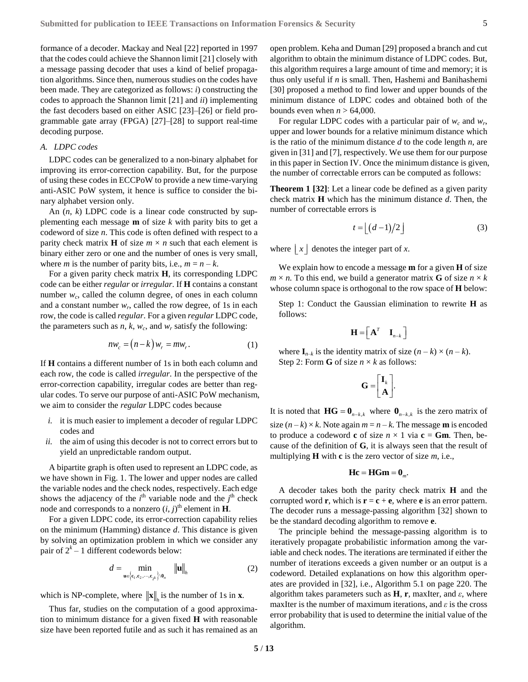formance of a decoder. Mackay and Neal [\[22\]](#page-12-12) reported in 1997 that the codes could achieve the Shannon limit [\[21\]](#page-12-13) closely with a message passing decoder that uses a kind of belief propagation algorithms. Since then, numerous studies on the codes have been made. They are categorized as follows: *i*) constructing the codes to approach the Shannon limit [\[21\]](#page-12-13) and *ii*) implementing the fast decoders based on either ASIC [\[23\]–](#page-12-14)[\[26\]](#page-12-15) or field programmable gate array (FPGA) [\[27\]–](#page-12-16)[\[28\]](#page-12-17) to support real-time decoding purpose.

## *A. LDPC codes*

LDPC codes can be generalized to a non-binary alphabet for improving its error-correction capability. But, for the purpose of using these codes in ECCPoW to provide a new time-varying anti-ASIC PoW system, it hence is suffice to consider the binary alphabet version only.

An (*n*, *k*) LDPC code is a linear code constructed by supplementing each message **m** of size *k* with parity bits to get a codeword of size *n*. This code is often defined with respect to a parity check matrix **H** of size  $m \times n$  such that each element is binary either zero or one and the number of ones is very small, where *m* is the number of parity bits, i.e.,  $m = n - k$ .

For a given parity check matrix **H**, its corresponding LDPC code can be either *regular* or *irregular*. If **H** contains a constant number  $w_c$ , called the column degree, of ones in each column and a constant number  $w_r$ , called the row degree, of 1s in each row, the code is called *regular*. For a given *regular* LDPC code, the parameters such as  $n$ ,  $k$ ,  $w_c$ , and  $w_r$  satisfy the following:

$$
nw_c = (n-k)w_r = mw_r.
$$
 (1)

If **H** contains a different number of 1s in both each column and each row, the code is called *irregular*. In the perspective of the error-correction capability, irregular codes are better than regular codes. To serve our purpose of anti-ASIC PoW mechanism, we aim to consider the *regular* LDPC codes because

- *i.* it is much easier to implement a decoder of regular LDPC codes and
- *ii.* the aim of using this decoder is not to correct errors but to yield an unpredictable random output.

A bipartite graph is often used to represent an LDPC code, as we have shown in Fig. 1. The lower and upper nodes are called the variable nodes and the check nodes, respectively. Each edge shows the adjacency of the  $i<sup>th</sup>$  variable node and the  $j<sup>th</sup>$  check node and corresponds to a nonzero  $(i, j)$ <sup>th</sup> element in **H**.

For a given LDPC code, its error-correction capability relies on the minimum (Hamming) distance *d*. This distance is given by solving an optimization problem in which we consider any pair of  $2^k - 1$  different codewords below:

$$
d = \min_{\mathbf{u} \in \left\{ \mathbf{c}_1, \mathbf{c}_2, \cdots, \mathbf{c}_{2^k} \right\} \setminus \mathbf{0}_n} \quad \|\mathbf{u}\|_{h}
$$
 (2)

which is NP-complete, where  $\|\mathbf{x}\|_{n}$  is the number of 1s in **x**.

Thus far, studies on the computation of a good approximation to minimum distance for a given fixed **H** with reasonable size have been reported futile and as such it has remained as an open problem. Keha and Duma[n \[29\]](#page-12-18) proposed a branch and cut algorithm to obtain the minimum distance of LDPC codes. But, this algorithm requires a large amount of time and memory; it is thus only useful if *n* is small. Then, Hashemi and Banihashemi [\[30\]](#page-12-19) proposed a method to find lower and upper bounds of the minimum distance of LDPC codes and obtained both of the bounds even when  $n > 64,000$ .

For regular LDPC codes with a particular pair of  $w_c$  and  $w_r$ , upper and lower bounds for a relative minimum distance which is the ratio of the minimum distance *d* to the code length *n*, are given i[n \[31\]](#page-12-20) an[d \[7\],](#page-11-10) respectively. We use them for our purpose in this paper in Section [IV.](#page-5-0) Once the minimum distance is given, the number of correctable errors can be computed as follows:

**Theorem 1 [\[32\]](#page-12-5)**: Let a linear code be defined as a given parity check matrix **H** which has the minimum distance *d*. Then, the number of correctable errors is

$$
t = \lfloor (d-1)/2 \rfloor \tag{3}
$$

where  $\lfloor x \rfloor$  denotes the integer part of *x*.

We explain how to encode a message **m** for a given **H** of size  $m \times n$ . To this end, we build a generator matrix **G** of size  $n \times k$ whose column space is orthogonal to the row space of **H** below:

Step 1: Conduct the Gaussian elimination to rewrite **H** as follows:

$$
\mathbf{H} = \left[ \begin{matrix} \mathbf{A}^T & \mathbf{I}_{n-k} \end{matrix} \right]
$$

where  $\mathbf{I}_{n-k}$  is the identity matrix of size  $(n-k) \times (n-k)$ . Step 2: Form **G** of size  $n \times k$  as follows:

$$
\mathbf{G} = \begin{bmatrix} \mathbf{I}_k \\ \mathbf{A} \end{bmatrix}.
$$

It is noted that  $\mathbf{H}\mathbf{G} = \mathbf{0}_{n-k,k}$  where  $\mathbf{0}_{n-k,k}$  is the zero matrix of size  $(n-k) \times k$ . Note again  $m = n - k$ . The message **m** is encoded to produce a codeword **c** of size  $n \times 1$  via **c** = **Gm**. Then, because of the definition of **G**, it is always seen that the result of multiplying **H** with **c** is the zero vector of size *m*, i.e.,

$$
\mathbf{Hc} = \mathbf{HGm} = \mathbf{0}_m.
$$

A decoder takes both the parity check matrix **H** and the corrupted word **r**, which is  $\mathbf{r} = \mathbf{c} + \mathbf{e}$ , where **e** is an error pattern. The decoder runs a message-passing algorithm [\[32\]](#page-12-5) shown to be the standard decoding algorithm to remove **e**.

The principle behind the message-passing algorithm is to iteratively propagate probabilistic information among the variable and check nodes. The iterations are terminated if either the number of iterations exceeds a given number or an output is a codeword. Detailed explanations on how this algorithm operates are provided in [\[32\],](#page-12-5) i.e., Algorithm 5.1 on page 220. The algorithm takes parameters such as  $H$ ,  $r$ , maxIter, and  $\varepsilon$ , where maxIter is the number of maximum iterations, and *ε* is the cross error probability that is used to determine the initial value of the algorithm.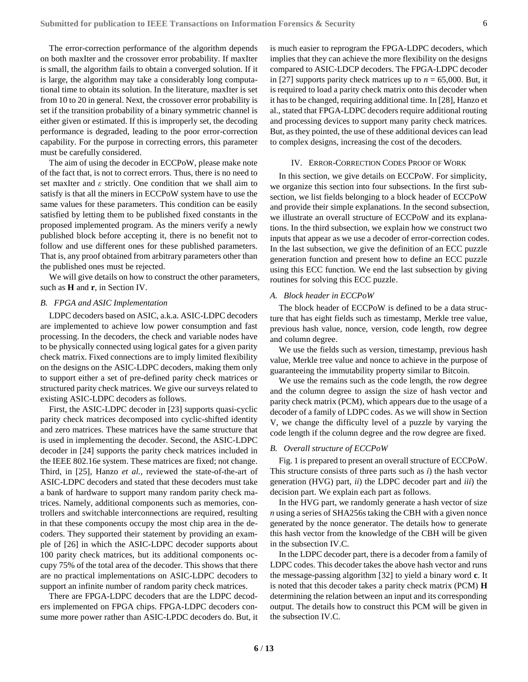The error-correction performance of the algorithm depends on both maxIter and the crossover error probability. If maxIter is small, the algorithm fails to obtain a converged solution. If it is large, the algorithm may take a considerably long computational time to obtain its solution. In the literature, maxIter is set from 10 to 20 in general. Next, the crossover error probability is set if the transition probability of a binary symmetric channel is either given or estimated. If this is improperly set, the decoding performance is degraded, leading to the poor error-correction capability. For the purpose in correcting errors, this parameter must be carefully considered.

The aim of using the decoder in ECCPoW, please make note of the fact that, is not to correct errors. Thus, there is no need to set maxIter and *ε* strictly. One condition that we shall aim to satisfy is that all the miners in ECCPoW system have to use the same values for these parameters. This condition can be easily satisfied by letting them to be published fixed constants in the proposed implemented program. As the miners verify a newly published block before accepting it, there is no benefit not to follow and use different ones for these published parameters. That is, any proof obtained from arbitrary parameters other than the published ones must be rejected.

We will give details on how to construct the other parameters, such as **H** and **r**, in Section [IV.](#page-5-0)

## <span id="page-5-1"></span>*B. FPGA and ASIC Implementation*

LDPC decoders based on ASIC, a.k.a. ASIC-LDPC decoders are implemented to achieve low power consumption and fast processing. In the decoders, the check and variable nodes have to be physically connected using logical gates for a given parity check matrix. Fixed connections are to imply limited flexibility on the designs on the ASIC-LDPC decoders, making them only to support either a set of pre-defined parity check matrices or structured parity check matrices. We give our surveys related to existing ASIC-LDPC decoders as follows.

First, the ASIC-LDPC decoder in [\[23\]](#page-12-14) supports quasi-cyclic parity check matrices decomposed into cyclic-shifted identity and zero matrices. These matrices have the same structure that is used in implementing the decoder. Second, the ASIC-LDPC decoder in [\[24\]](#page-12-21) supports the parity check matrices included in the IEEE 802.16e system. These matrices are fixed; not change. Third, in [\[25\],](#page-12-22) Hanzo *et al.*, reviewed the state-of-the-art of ASIC-LDPC decoders and stated that these decoders must take a bank of hardware to support many random parity check matrices. Namely, additional components such as memories, controllers and switchable interconnections are required, resulting in that these components occupy the most chip area in the decoders. They supported their statement by providing an example of [\[26\]](#page-12-15) in which the ASIC-LDPC decoder supports about 100 parity check matrices, but its additional components occupy 75% of the total area of the decoder. This shows that there are no practical implementations on ASIC-LDPC decoders to support an infinite number of random parity check matrices.

There are FPGA-LDPC decoders that are the LDPC decoders implemented on FPGA chips. FPGA-LDPC decoders consume more power rather than ASIC-LPDC decoders do. But, it is much easier to reprogram the FPGA-LDPC decoders, which implies that they can achieve the more flexibility on the designs compared to ASIC-LDCP decoders. The FPGA-LDPC decoder in [\[27\]](#page-12-16) supports parity check matrices up to  $n = 65,000$ . But, it is required to load a parity check matrix onto this decoder when it has to be changed, requiring additional time. I[n \[28\],](#page-12-17) Hanzo et al., stated that FPGA-LDPC decoders require additional routing and processing devices to support many parity check matrices. But, as they pointed, the use of these additional devices can lead to complex designs, increasing the cost of the decoders.

#### IV. ERROR-CORRECTION CODES PROOF OF WORK

<span id="page-5-0"></span>In this section, we give details on ECCPoW. For simplicity, we organize this section into four subsections. In the first subsection, we list fields belonging to a block header of ECCPoW and provide their simple explanations. In the second subsection, we illustrate an overall structure of ECCPoW and its explanations. In the third subsection, we explain how we construct two inputs that appear as we use a decoder of error-correction codes. In the last subsection, we give the definition of an ECC puzzle generation function and present how to define an ECC puzzle using this ECC function. We end the last subsection by giving routines for solving this ECC puzzle.

# *A. Block header in ECCPoW*

The block header of ECCPoW is defined to be a data structure that has eight fields such as timestamp, Merkle tree value, previous hash value, nonce, version, code length, row degree and column degree.

We use the fields such as version, timestamp, previous hash value, Merkle tree value and nonce to achieve in the purpose of guaranteeing the immutability property similar to Bitcoin.

We use the remains such as the code length, the row degree and the column degree to assign the size of hash vector and parity check matrix (PCM), which appears due to the usage of a decoder of a family of LDPC codes. As we will show in Section [V,](#page-8-0) we change the difficulty level of a puzzle by varying the code length if the column degree and the row degree are fixed.

#### *B. Overall structure of ECCPoW*

Fig. 1 is prepared to present an overall structure of ECCPoW. This structure consists of three parts such as *i*) the hash vector generation (HVG) part, *ii*) the LDPC decoder part and *iii*) the decision part. We explain each part as follows.

In the HVG part, we randomly generate a hash vector of size *n* using a series of SHA256s taking the CBH with a given nonce generated by the nonce generator. The details how to generate this hash vector from the knowledge of the CBH will be given in the subsection [IV.C.](#page-6-0)

In the LDPC decoder part, there is a decoder from a family of LDPC codes. This decoder takes the above hash vector and runs the message-passing algorithm [\[32\]](#page-12-5) to yield a binary word **c**. It is noted that this decoder takes a parity check matrix (PCM) **H** determining the relation between an input and its corresponding output. The details how to construct this PCM will be given in the subsectio[n IV.C.](#page-6-0)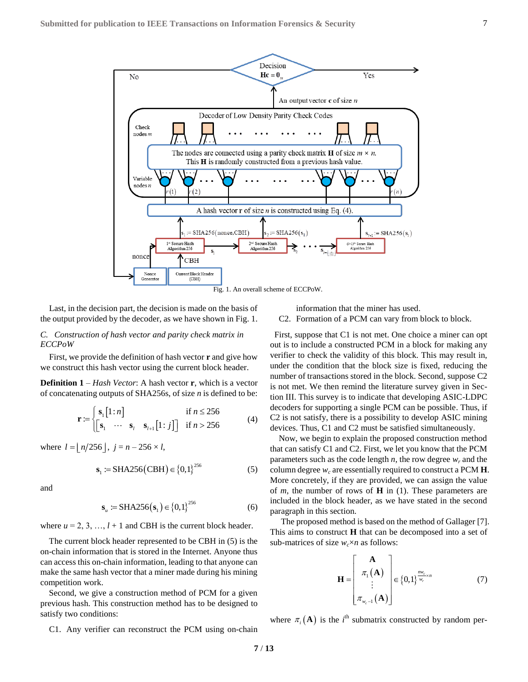

Last, in the decision part, the decision is made on the basis of the output provided by the decoder, as we have shown in Fig. 1.

## <span id="page-6-0"></span>*C. Construction of hash vector and parity check matrix in ECCPoW*

First, we provide the definition of hash vector **r** and give how we construct this hash vector using the current block header.

**Definition 1** – *Hash Vector*: A hash vector **r**, which is a vector of concatenating outputs of SHA256s, of size *n* is defined to be:

$$
\mathbf{r} := \begin{cases} \mathbf{s}_1[1:n] & \text{if } n \leq 256\\ \begin{bmatrix} \mathbf{s}_1 & \cdots & \mathbf{s}_l & \mathbf{s}_{l+1}[1:j] \end{bmatrix} & \text{if } n > 256 \end{cases} (4)
$$

where  $l = \lfloor n/256 \rfloor$ ,  $j = n - 256 \times l$ ,

$$
s_1 := SHA256(CBH) \in \{0,1\}^{256}
$$
 (5)

and

$$
\mathbf{s}_{u} := \text{SHA256}(\mathbf{s}_{1}) \in \{0, 1\}^{256} \tag{6}
$$

where  $u = 2, 3, ..., l + 1$  and CBH is the current block header.

The current block header represented to be CBH in (5) is the on-chain information that is stored in the Internet. Anyone thus can access this on-chain information, leading to that anyone can make the same hash vector that a miner made during his mining competition work.

Second, we give a construction method of PCM for a given previous hash. This construction method has to be designed to satisfy two conditions:

<span id="page-6-1"></span>C1. Any verifier can reconstruct the PCM using on-chain

information that the miner has used.

<span id="page-6-2"></span>C2. Formation of a PCM can vary from block to block.

First, suppose that [C1](#page-6-1) is not met. One choice a miner can opt out is to include a constructed PCM in a block for making any verifier to check the validity of this block. This may result in, under the condition that the block size is fixed, reducing the number of transactions stored in the block. Second, suppos[e C2](#page-6-2) is not met. We then remind the literature survey given in Section III. This survey is to indicate that developing ASIC-LDPC decoders for supporting a single PCM can be possible. Thus, if C2 is not satisfy, there is a possibility to develop ASIC mining devices. Thus, [C1](#page-6-1) and [C2](#page-6-2) must be satisfied simultaneously.

Now, we begin to explain the proposed construction method that can satisfy C1 and C2. First, we let you know that the PCM parameters such as the code length  $n$ , the row degree  $w_r$  and the column degree  $w_c$  are essentially required to construct a PCM **H**. More concretely, if they are provided, we can assign the value of *m*, the number of rows of **H** in (1). These parameters are included in the block header, as we have stated in the second paragraph in this section.

The proposed method is based on the method of Gallage[r \[7\].](#page-11-10) This aims to construct **H** that can be decomposed into a set of sub-matrices of size  $w_c \times n$  as follows:

$$
\mathbf{H} = \begin{bmatrix} \mathbf{A} \\ \pi_1(\mathbf{A}) \\ \vdots \\ \pi_{w_c-1}(\mathbf{A}) \end{bmatrix} \in \{0,1\}^{\frac{mv_c}{w_r} \times n} \tag{7}
$$

where  $\pi_i(A)$  is the *i*<sup>th</sup> submatrix constructed by random per-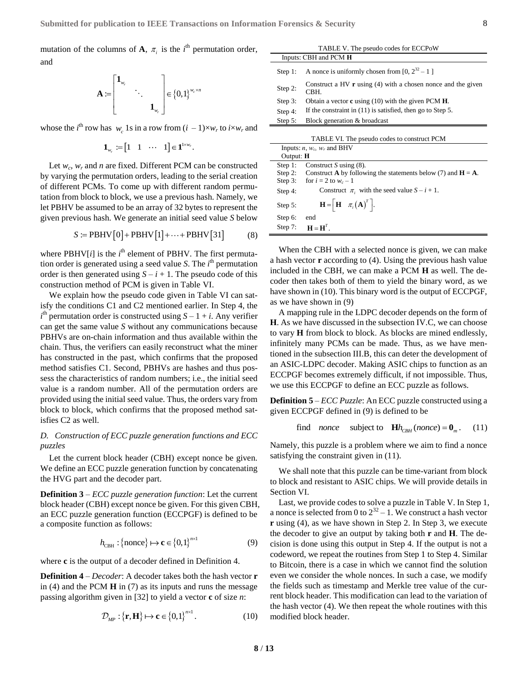mutation of the columns of **A**,  $\pi$ <sub>*i*</sub> is the *i*<sup>th</sup> permutation order, and

$$
\mathbf{A} := \begin{bmatrix} \mathbf{1}_{w_r} & & \\ & \ddots & \\ & & \mathbf{1}_{w_r} \end{bmatrix} \in \{0,1\}^{w_c \times n}
$$

whose the *i*<sup>th</sup> row has  $w_c$  1s in a row from  $(i - 1) \times w_r$  to  $i \times w_r$  and

$$
\mathbf{1}_{w_r} := \begin{bmatrix} 1 & 1 & \cdots & 1 \end{bmatrix} \in \mathbf{1}^{1 \times w_r}.
$$

Let  $w_c$ ,  $w_r$  and *n* are fixed. Different PCM can be constructed by varying the permutation orders, leading to the serial creation of different PCMs. To come up with different random permutation from block to block, we use a previous hash. Namely, we let PBHV be assumed to be an array of 32 bytes to represent the given previous hash. We generate an initial seed value *S* below<br> $S \coloneqq \text{PBHV}[0] + \text{PBHV}[1] + \cdots + \text{PBHV}[31]$  (8)

$$
S := \text{PBHV}[0] + \text{PBHV}[1] + \dots + \text{PBHV}[31] \tag{8}
$$

where PBHV[*i*] is the *i*<sup>th</sup> element of PBHV. The first permutation order is generated using a seed value *S*. The *i*<sup>th</sup> permutation order is then generated using  $S - i + 1$ . The pseudo code of this construction method of PCM is given in Table VI.

We explain how the pseudo code given in Table VI can satisfy the conditions [C1](#page-6-1) and [C2](#page-6-2) mentioned earlier. In Step 4, the  $i<sup>th</sup>$  permutation order is constructed using  $S - 1 + i$ . Any verifier can get the same value *S* without any communications because PBHVs are on-chain information and thus available within the chain. Thus, the verifiers can easily reconstruct what the miner has constructed in the past, which confirms that the proposed method satisfies [C1.](#page-6-1) Second, PBHVs are hashes and thus possess the characteristics of random numbers; i.e., the initial seed value is a random number. All of the permutation orders are provided using the initial seed value. Thus, the orders vary from block to block, which confirms that the proposed method satisfies [C2](#page-6-2) as well.

# *D. Construction of ECC puzzle generation functions and ECC puzzles*

Let the current block header (CBH) except nonce be given. We define an ECC puzzle generation function by concatenating the HVG part and the decoder part.

**Definition 3** – *ECC puzzle generation function*: Let the current block header (CBH) except nonce be given. For this given CBH, an ECC puzzle generation function (ECCPGF) is defined to be a composite function as follows:

$$
h_{\text{CBH}}: \{\text{none}\} \mapsto \mathbf{c} \in \{0,1\}^{n \times 1}
$$
 (9)

where **c** is the output of a decoder defined in Definition 4.

**Definition 4** – *Decoder*: A decoder takes both the hash vector **r** in (4) and the PCM **H** in (7) as its inputs and runs the message passing algorithm given i[n \[32\]](#page-12-5) to yield a vector **c** of size *n*:

$$
\mathcal{D}_{MP}: \{\mathbf{r}, \mathbf{H}\} \mapsto \mathbf{c} \in \{0, 1\}^{n \times 1}.
$$
 (10)

| TABLE V. The pseudo codes for ECCPoW |                                                                             |  |  |
|--------------------------------------|-----------------------------------------------------------------------------|--|--|
| Inputs: CBH and PCM H                |                                                                             |  |  |
| Step $1$ :                           | A nonce is uniformly chosen from [0, $2^{32} - 1$ ]                         |  |  |
| Step 2:                              | Construct a HV $\bf{r}$ using (4) with a chosen nonce and the given<br>CBH. |  |  |
| Step $3:$                            | Obtain a vector $\bf{c}$ using (10) with the given PCM <b>H</b> .           |  |  |
| Step 4:                              | If the constraint in $(11)$ is satisfied, then go to Step 5.                |  |  |
| Step $5$ :                           | Block generation & broadcast                                                |  |  |
|                                      | TABLE VI. The pseudo codes to construct PCM                                 |  |  |

| <b>TADLE VI.</b> The pseudo codes to construct I Civil |                                                                                 |  |
|--------------------------------------------------------|---------------------------------------------------------------------------------|--|
| Inputs: $n$ , $w_c$ , $w_r$ and BHV                    |                                                                                 |  |
| Output: H                                              |                                                                                 |  |
| Step $1$ :                                             | Construct S using $(8)$ .                                                       |  |
|                                                        | Step 2: Construct <b>A</b> by following the statements below (7) and $H = A$ .  |  |
| Step $3:$                                              | for $i = 2$ to $w_c - 1$                                                        |  |
| Step $4$ :                                             | Construct $\pi_i$ with the seed value $S - i + 1$ .                             |  |
| Step $5$ :                                             | $\mathbf{H} = \begin{bmatrix} \mathbf{H} & \pi_i(\mathbf{A})^T \end{bmatrix}$ . |  |
| Step 6:                                                | end                                                                             |  |
|                                                        | Step 7: $\mathbf{H} = \mathbf{H}^T$ .                                           |  |

When the CBH with a selected nonce is given, we can make a hash vector **r** according to (4). Using the previous hash value included in the CBH, we can make a PCM **H** as well. The decoder then takes both of them to yield the binary word, as we have shown in (10). This binary word is the output of ECCPGF, as we have shown in (9)

A mapping rule in the LDPC decoder depends on the form of **H**. As we have discussed in the subsection [IV.C,](#page-6-0) we can choose to vary **H** from block to block. As blocks are mined endlessly, infinitely many PCMs can be made. Thus, as we have mentioned in the subsectio[n III.B,](#page-5-1) this can deter the development of an ASIC-LDPC decoder. Making ASIC chips to function as an ECCPGF becomes extremely difficult, if not impossible. Thus, we use this ECCPGF to define an ECC puzzle as follows.

**Definition 5** – *ECC Puzzle*: An ECC puzzle constructed using a given ECCPGF defined in (9) is defined to be

> find *nonce* subject to  $\mathbf{H} h_{CBH}$  (*nonce*) =  $\mathbf{0}_m$ . (11)

Namely, this puzzle is a problem where we aim to find a nonce satisfying the constraint given in (11).

We shall note that this puzzle can be time-variant from block to block and resistant to ASIC chips. We will provide details in Sectio[n VI.](#page-10-0)

Last, we provide codes to solve a puzzle in Table V. In Step 1, a nonce is selected from 0 to  $2^{32} - 1$ . We construct a hash vector **r** using (4), as we have shown in Step 2. In Step 3, we execute the decoder to give an output by taking both **r** and **H**. The decision is done using this output in Step 4. If the output is not a codeword, we repeat the routines from Step 1 to Step 4. Similar to Bitcoin, there is a case in which we cannot find the solution even we consider the whole nonces. In such a case, we modify the fields such as timestamp and Merkle tree value of the current block header. This modification can lead to the variation of the hash vector (4). We then repeat the whole routines with this modified block header.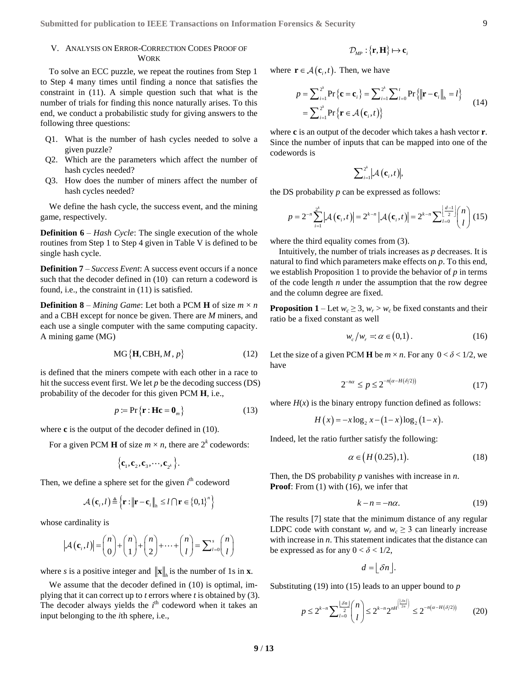# <span id="page-8-0"></span>V. ANALYSIS ON ERROR-CORRECTION CODES PROOF OF WORK

To solve an ECC puzzle, we repeat the routines from Step 1 to Step 4 many times until finding a nonce that satisfies the constraint in (11). A simple question such that what is the number of trials for finding this nonce naturally arises. To this end, we conduct a probabilistic study for giving answers to the following three questions:

- Q1. What is the number of hash cycles needed to solve a given puzzle?
- Q2. Which are the parameters which affect the number of hash cycles needed?
- Q3. How does the number of miners affect the number of hash cycles needed?

We define the hash cycle, the success event, and the mining game, respectively.

**Definition 6** – *Hash Cycle*: The single execution of the whole routines from Step 1 to Step 4 given in Table V is defined to be single hash cycle.

**Definition 7** – *Success Event*: A success event occurs if a nonce such that the decoder defined in (10) can return a codeword is found, i.e., the constraint in (11) is satisfied.

**Definition 8** – *Mining Game*: Let both a PCM **H** of size  $m \times n$ and a CBH except for nonce be given. There are *M* miners, and each use a single computer with the same computing capacity. A mining game (MG)

$$
MG\{H, CBH, M, p\} \tag{12}
$$

is defined that the miners compete with each other in a race to hit the success event first. We let *p* be the decoding success (DS) probability of the decoder for this given PCM **H**, i.e.,

$$
p := \Pr\{\mathbf{r} : \mathbf{H}\mathbf{c} = \mathbf{0}_m\} \tag{13}
$$

where **c** is the output of the decoder defined in (10).

For a given PCM **H** of size  $m \times n$ , there are  $2^k$  codewords:

$$
\left\{ \mathbf{c}_{1},\mathbf{c}_{2},\mathbf{c}_{3},\cdots,\mathbf{c}_{2^{k}}\right\} .
$$

Then, we define a sphere set for the given *i*<sup>th</sup> codeword

$$
\mathcal{A}(\mathbf{c}_i, l) \triangleq \left\{ \mathbf{r} : ||\mathbf{r} - \mathbf{c}_i||_h \leq l \bigcap \mathbf{r} \in \left\{0, 1\right\}^n \right\}
$$

whose cardinality is

$$
|\mathcal{A}(\mathbf{c}_i, l)| = \binom{n}{0} + \binom{n}{1} + \binom{n}{2} + \dots + \binom{n}{l} = \sum_{l=0}^{s} \binom{n}{l}
$$

where *s* is a positive integer and  $\|\mathbf{x}\|_{h}$  is the number of 1s in **x**.

We assume that the decoder defined in (10) is optimal, implying that it can correct up to *t* errors where *t* is obtained by (3). The decoder always yields the  $i<sup>th</sup>$  codeword when it takes an input belonging to the *i*th sphere, i.e.,

$$
\mathcal{D}_{\text{MP}}: \{\mathbf{r}, \mathbf{H}\} \mapsto \mathbf{c}_i
$$

where  $\mathbf{r} \in \mathcal{A}(\mathbf{c}_i, t)$ . Then, we have

$$
P \in \mathcal{A}(\mathbf{c}_i, t). \text{ Then, we have}
$$
\n
$$
P = \sum_{i=1}^{2^k} \Pr\left\{\mathbf{c} = \mathbf{c}_i\right\} = \sum_{i=1}^{2^k} \sum_{l=0}^t \Pr\left\{\|\mathbf{r} - \mathbf{c}_i\|_h = l\right\}
$$
\n
$$
= \sum_{i=1}^{2^k} \Pr\left\{\mathbf{r} \in \mathcal{A}(\mathbf{c}_i, t)\right\}
$$
\n(14)

where **c** is an output of the decoder which takes a hash vector **r**. Since the number of inputs that can be mapped into one of the codewords is

$$
\sum\nolimits_{i=1}^{2^k}\bigl|\mathcal{A}\bigl(\mathbf{c}_i^{},t\bigr)\bigr|,
$$

the DS probability *p* can be expressed as follows:  
\n
$$
p = 2^{-n} \sum_{i=1}^{2^k} |A(\mathbf{c}_i, t)| = 2^{k-n} |A(\mathbf{c}_i, t)| = 2^{k-n} \sum_{i=0}^{\lfloor \frac{d-1}{2} \rfloor} {n \choose l} (15)
$$

where the third equality comes from (3).

Intuitively, the number of trials increases as *p* decreases. It is natural to find which parameters make effects on *p*. To this end, we establish Proposition 1 to provide the behavior of *p* in terms of the code length *n* under the assumption that the row degree and the column degree are fixed.

**Proposition 1** – Let  $w_c \geq 3$ ,  $w_r > w_c$  be fixed constants and their ratio be a fixed constant as well

$$
w_c/w_r = \alpha \in (0,1).
$$
 (16)

Let the size of a given PCM **H** be  $m \times n$ . For any  $0 < \delta < 1/2$ , we have

$$
2^{-n\alpha} \le p \le 2^{-n(\alpha - H(\delta/2))} \tag{17}
$$

where  $H(x)$  is the binary entropy function defined as follows:

$$
H(x) = -x \log_2 x - (1 - x) \log_2 (1 - x).
$$

Indeed, let the ratio further satisfy the following:

$$
\alpha \in (H(0.25),1). \tag{18}
$$

Then, the DS probability *p* vanishes with increase in *n*. **Proof**: From (1) with (16), we infer that

$$
k - n = -n\alpha. \tag{19}
$$

The results [\[7\]](#page-11-10) state that the minimum distance of any regular LDPC code with constant  $w_r$  and  $w_c \geq 3$  can linearly increase with increase in *n*. This statement indicates that the distance can be expressed as for any  $0 < \delta < 1/2$ ,

$$
d = \lfloor \delta n \rfloor.
$$

Substituting (19) into (15) leads to an upper bound to *p*

$$
p \le 2^{k-n} \sum_{l=0}^{\lfloor \delta n \rfloor} {n \choose l} \le 2^{k-n} 2^{n H^{ \left( \lfloor \delta n \rfloor \right) }} \le 2^{-n (\alpha - H(\delta/2))} \tag{20}
$$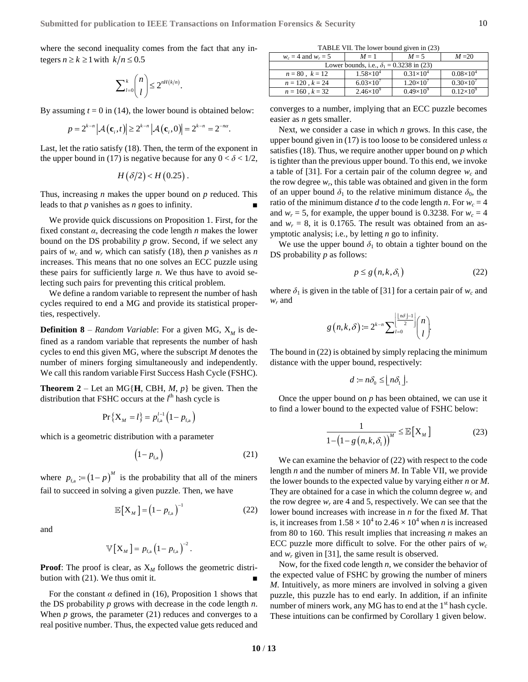where the second inequality comes from the fact that any integers  $n \ge k \ge 1$  with  $k/n \le 0.5$ 

$$
\sum\nolimits_{l=0}^{k} \binom{n}{l} \leq 2^{nH(k/n)}.
$$

By assuming 
$$
t = 0
$$
 in (14), the lower bound is obtained below:  
\n
$$
p = 2^{k-n} |\mathcal{A}(\mathbf{c}_i, t)| \ge 2^{k-n} |\mathcal{A}(\mathbf{c}_i, 0)| = 2^{k-n} = 2^{-n\alpha}.
$$

Last, let the ratio satisfy (18). Then, the term of the exponent in the upper bound in (17) is negative because for any  $0 < \delta < 1/2$ ,

$$
H(\delta/2) < H(0.25).
$$

Thus, increasing *n* makes the upper bound on *p* reduced. This leads to that  $p$  vanishes as  $n$  goes to infinity.

We provide quick discussions on Proposition 1. First, for the fixed constant *α*, decreasing the code length *n* makes the lower bound on the DS probability *p* grow. Second, if we select any pairs of  $w_c$  and  $w_r$  which can satisfy (18), then p vanishes as n increases. This means that no one solves an ECC puzzle using these pairs for sufficiently large *n*. We thus have to avoid selecting such pairs for preventing this critical problem.

We define a random variable to represent the number of hash cycles required to end a MG and provide its statistical properties, respectively.

**Definition 8** – *Random Variable*: For a given MG,  $X_M$  is defined as a random variable that represents the number of hash cycles to end this given MG, where the subscript *M* denotes the number of miners forging simultaneously and independently. We call this random variable First Success Hash Cycle (FSHC).

**Theorem 2** – Let an MG{**H**, CBH, *M*, *p*} be given. Then the distribution that FSHC occurs at the  $l^{\text{th}}$  hash cycle is

$$
Pr\{X_M = l\} = p_{f,a}^{l-1} (1 - p_{f,a})
$$

which is a geometric distribution with a parameter

$$
\left(1 - p_{\text{f,a}}\right) \tag{21}
$$

where  $p_{f,a} := (1-p)^M$  is the probability that all of the miners fail to succeed in solving a given puzzle. Then, we have

$$
\mathbb{E}\left[X_M\right] = \left(1 - p_{\text{fa}}\right)^{-1} \tag{22}
$$

and

$$
\mathbb{V}\left[\mathbf{X}_{\text{M}}\right]=p_{\text{f,a}}\left(1-p_{\text{f,a}}\right)^{-2}.
$$

**Proof:** The proof is clear, as  $X_M$  follows the geometric distribution with  $(21)$ . We thus omit it.

For the constant  $\alpha$  defined in (16), Proposition 1 shows that the DS probability *p* grows with decrease in the code length *n*. When  $p$  grows, the parameter  $(21)$  reduces and converges to a real positive number. Thus, the expected value gets reduced and

TABLE VII. The lower bound given in (23)

| $w_c = 4$ and $w_r = 5$                         | $M=1$              | $M = 5$            | $M = 20$           |  |  |
|-------------------------------------------------|--------------------|--------------------|--------------------|--|--|
| Lower bounds, i.e., $\delta_1 = 0.3238$ in (23) |                    |                    |                    |  |  |
| $n = 80, k = 12$                                | $1.58\times10^{4}$ | $0.31\times10^{4}$ | $0.08\times10^{4}$ |  |  |
| $n = 120$ , $k = 24$                            | $6.03\times10^{7}$ | $1.20\times10^{7}$ | $0.30\times10^{7}$ |  |  |
| $n = 160$ , $k = 32$                            | $2.46\times10^{9}$ | $0.49\times10^{9}$ | $0.12\times10^{9}$ |  |  |

converges to a number, implying that an ECC puzzle becomes easier as *n* gets smaller.

Next, we consider a case in which *n* grows. In this case, the upper bound given in (17) is too loose to be considered unless *α* satisfies (18). Thus, we require another upper bound on *p* which is tighter than the previous upper bound. To this end, we invoke a table of [\[31\].](#page-12-20) For a certain pair of the column degree  $w_c$  and the row degree  $w_r$ , this table was obtained and given in the form of an upper bound  $\delta_1$  to the relative minimum distance  $\delta_0$ , the ratio of the minimum distance *d* to the code length *n*. For  $w_c = 4$ and  $w_r = 5$ , for example, the upper bound is 0.3238. For  $w_c = 4$ and  $w_r = 8$ , it is 0.1765. The result was obtained from an asymptotic analysis; i.e., by letting *n* go to infinity.

We use the upper bound  $\delta_1$  to obtain a tighter bound on the DS probability *p* as follows:

$$
p \le g\left(n, k, \delta_1\right) \tag{22}
$$

where  $\delta_1$  is given in the table of [\[31\]](#page-12-20) for a certain pair of  $w_c$  and  $w_r$  and

$$
g\left(n,k,\delta\right):=2^{k-n}\sum_{l=0}^{\left\lfloor\frac{\lfloor n\delta\rfloor-1}{2}\right\rfloor}\binom{n}{l}.
$$

The bound in (22) is obtained by simply replacing the minimum distance with the upper bound, respectively:

$$
d := n\delta_0 \leq \lfloor n\delta_1 \rfloor.
$$

Once the upper bound on *p* has been obtained, we can use it to find a lower bound to the expected value of FSHC below:

$$
\frac{1}{1 - \left(1 - g\left(n, k, \delta_1\right)\right)^M} \le \mathbb{E}\left[X_M\right] \tag{23}
$$

We can examine the behavior of (22) with respect to the code length *n* and the number of miners *M*. In Table VII, we provide the lower bounds to the expected value by varying either *n* or *M*. They are obtained for a case in which the column degree  $w_c$  and the row degree  $w_r$  are 4 and 5, respectively. We can see that the lower bound increases with increase in *n* for the fixed *M*. That is, it increases from  $1.58 \times 10^4$  to  $2.46 \times 10^4$  when *n* is increased from 80 to 160. This result implies that increasing *n* makes an ECC puzzle more difficult to solve. For the other pairs of  $w_c$ and  $w_r$  given in [\[31\],](#page-12-20) the same result is observed.

Now, for the fixed code length *n*, we consider the behavior of the expected value of FSHC by growing the number of miners *M*. Intuitively, as more miners are involved in solving a given puzzle, this puzzle has to end early. In addition, if an infinite number of miners work, any MG has to end at the  $1<sup>st</sup>$  hash cycle. These intuitions can be confirmed by Corollary 1 given below.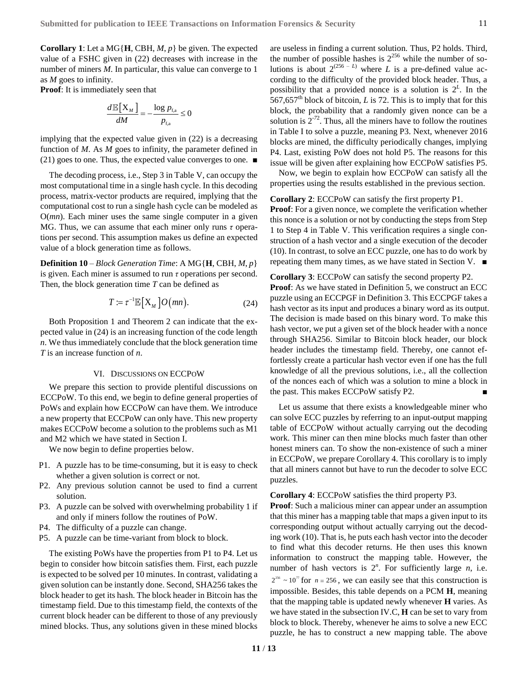**Corollary 1**: Let a MG{**H**, CBH, *M*, *p*} be given. The expected value of a FSHC given in (22) decreases with increase in the number of miners *M*. In particular, this value can converge to 1 as *M* goes to infinity.

**Proof**: It is immediately seen that

$$
\frac{d\mathbb{E}[X_{M}]}{dM} = -\frac{\log p_{\text{f,a}}}{p_{\text{f,a}}} \leq 0
$$

implying that the expected value given in (22) is a decreasing function of *M*. As *M* goes to infinity, the parameter defined in (21) goes to one. Thus, the expected value converges to one. ■

The decoding process, i.e., Step 3 in Table V, can occupy the most computational time in a single hash cycle. In this decoding process, matrix-vector products are required, implying that the computational cost to run a single hash cycle can be modeled as O(*mn*). Each miner uses the same single computer in a given MG. Thus, we can assume that each miner only runs *τ* operations per second. This assumption makes us define an expected value of a block generation time as follows.

**Definition 10** – *Block Generation Time*: A MG{**H**, CBH, *M*, *p*} is given. Each miner is assumed to run *τ* operations per second. Then, the block generation time *T* can be defined as

$$
T \coloneqq \tau^{-1} \mathbb{E}\big[X_M\big] O\big(mn\big). \tag{24}
$$

Both Proposition 1 and Theorem 2 can indicate that the expected value in (24) is an increasing function of the code length *n*. We thus immediately conclude that the block generation time *T* is an increase function of *n*.

# VI. DISCUSSIONS ON ECCPOW

<span id="page-10-0"></span>We prepare this section to provide plentiful discussions on ECCPoW. To this end, we begin to define general properties of PoWs and explain how ECCPoW can have them. We introduce a new property that ECCPoW can only have. This new property makes ECCPoW become a solution to the problems such as [M1](#page-1-0) an[d M2](#page-1-1) which we have stated in Section [I.](#page-0-0)

We now begin to define properties below.

- P1. A puzzle has to be time-consuming, but it is easy to check whether a given solution is correct or not.
- P2. Any previous solution cannot be used to find a current solution.
- P3. A puzzle can be solved with overwhelming probability 1 if and only if miners follow the routines of PoW.
- P4. The difficulty of a puzzle can change.
- P5. A puzzle can be time-variant from block to block.

The existing PoWs have the properties from P1 to P4. Let us begin to consider how bitcoin satisfies them. First, each puzzle is expected to be solved per 10 minutes. In contrast, validating a given solution can be instantly done. Second, SHA256 takes the block header to get its hash. The block header in Bitcoin has the timestamp field. Due to this timestamp field, the contexts of the current block header can be different to those of any previously mined blocks. Thus, any solutions given in these mined blocks are useless in finding a current solution. Thus, P2 holds. Third, the number of possible hashes is  $2^{256}$  while the number of solutions is about  $2^{(256 - L)}$  where *L* is a pre-defined value according to the difficulty of the provided block header. Thus, a possibility that a provided nonce is a solution is  $2^L$ . In the 567,657<sup>th</sup> block of bitcoin, *L* is 72. This is to imply that for this block, the probability that a randomly given nonce can be a solution is  $2^{-72}$ . Thus, all the miners have to follow the routines in Table I to solve a puzzle, meaning P3. Next, whenever 2016 blocks are mined, the difficulty periodically changes, implying P4. Last, existing PoW does not hold P5. The reasons for this issue will be given after explaining how ECCPoW satisfies P5.

Now, we begin to explain how ECCPoW can satisfy all the properties using the results established in the previous section.

#### **Corollary 2**: ECCPoW can satisfy the first property P1.

**Proof**: For a given nonce, we complete the verification whether this nonce is a solution or not by conducting the steps from Step 1 to Step 4 in Table V. This verification requires a single construction of a hash vector and a single execution of the decoder (10). In contrast, to solve an ECC puzzle, one has to do work by repeating them many times, as we have stated in Sectio[n V.](#page-8-0)  $\blacksquare$ 

**Corollary 3**: ECCPoW can satisfy the second property P2. **Proof**: As we have stated in Definition 5, we construct an ECC puzzle using an ECCPGF in Definition 3. This ECCPGF takes a hash vector as its input and produces a binary word as its output. The decision is made based on this binary word. To make this hash vector, we put a given set of the block header with a nonce through SHA256. Similar to Bitcoin block header, our block header includes the timestamp field. Thereby, one cannot effortlessly create a particular hash vector even if one has the full knowledge of all the previous solutions, i.e., all the collection of the nonces each of which was a solution to mine a block in the past. This makes ECCPoW satisfy P2.

Let us assume that there exists a knowledgeable miner who can solve ECC puzzles by referring to an input-output mapping table of ECCPoW without actually carrying out the decoding work. This miner can then mine blocks much faster than other honest miners can. To show the non-existence of such a miner in ECCPoW, we prepare Corollary 4. This corollary is to imply that all miners cannot but have to run the decoder to solve ECC puzzles.

**Corollary 4**: ECCPoW satisfies the third property P3.

**Proof**: Such a malicious miner can appear under an assumption that this miner has a mapping table that maps a given input to its corresponding output without actually carrying out the decoding work (10). That is, he puts each hash vector into the decoder to find what this decoder returns. He then uses this known information to construct the mapping table. However, the number of hash vectors is  $2^n$ . For sufficiently large *n*, i.e.  $2^{256} \sim 10^{7}$  for  $n = 256$ , we can easily see that this construction is impossible. Besides, this table depends on a PCM **H**, meaning that the mapping table is updated newly whenever **H** varies. As we have stated in the subsectio[n IV.C,](#page-6-0) **H** can be set to vary from block to block. Thereby, whenever he aims to solve a new ECC puzzle, he has to construct a new mapping table. The above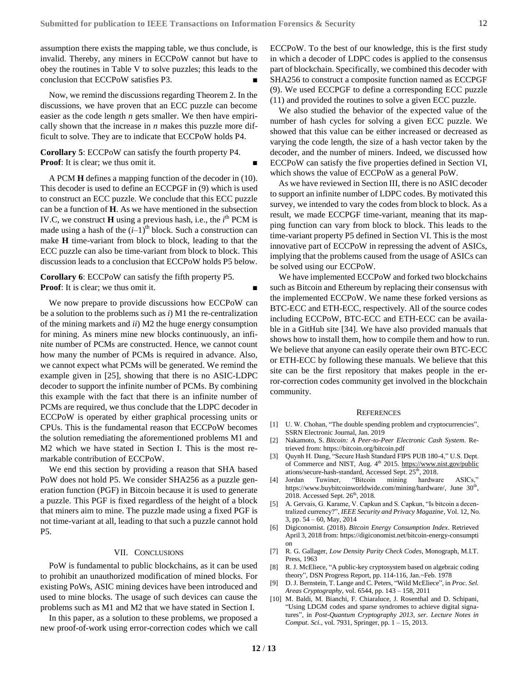assumption there exists the mapping table, we thus conclude, is invalid. Thereby, any miners in ECCPoW cannot but have to obey the routines in Table V to solve puzzles; this leads to the conclusion that ECCPoW satisfies P3.

Now, we remind the discussions regarding Theorem 2. In the discussions, we have proven that an ECC puzzle can become easier as the code length *n* gets smaller. We then have empirically shown that the increase in *n* makes this puzzle more difficult to solve. They are to indicate that ECCPoW holds P4.

**Corollary 5**: ECCPoW can satisfy the fourth property P4. **Proof:** It is clear; we thus omit it.

A PCM **H** defines a mapping function of the decoder in (10). This decoder is used to define an ECCPGF in (9) which is used to construct an ECC puzzle. We conclude that this ECC puzzle can be a function of **H**. As we have mentioned in the subsection [IV.C,](#page-6-0) we construct  $H$  using a previous hash, i.e., the  $i<sup>th</sup>$  PCM is made using a hash of the  $(i-1)$ <sup>th</sup> block. Such a construction can make **H** time-variant from block to block, leading to that the ECC puzzle can also be time-variant from block to block. This discussion leads to a conclusion that ECCPoW holds P5 below.

# **Corollary 6**: ECCPoW can satisfy the fifth property P5. **Proof:** It is clear; we thus omit it.

We now prepare to provide discussions how ECCPoW can be a solution to the problems such as *i*) [M1](#page-1-0) the re-centralization of the mining markets and *ii*) [M2](#page-1-1) the huge energy consumption for mining. As miners mine new blocks continuously, an infinite number of PCMs are constructed. Hence, we cannot count how many the number of PCMs is required in advance. Also, we cannot expect what PCMs will be generated. We remind the example given in [\[25\],](#page-12-22) showing that there is no ASIC-LDPC decoder to support the infinite number of PCMs. By combining this example with the fact that there is an infinite number of PCMs are required, we thus conclude that the LDPC decoder in ECCPoW is operated by either graphical processing units or CPUs. This is the fundamental reason that ECCPoW becomes the solution remediating the aforementioned problems [M1](#page-1-0) and [M2](#page-1-1) which we have stated in Section [I.](#page-0-0) This is the most remarkable contribution of ECCPoW.

We end this section by providing a reason that SHA based PoW does not hold P5. We consider SHA256 as a puzzle generation function (PGF) in Bitcoin because it is used to generate a puzzle. This PGF is fixed regardless of the height of a block that miners aim to mine. The puzzle made using a fixed PGF is not time-variant at all, leading to that such a puzzle cannot hold P5.

## VII. CONCLUSIONS

<span id="page-11-9"></span>PoW is fundamental to public blockchains, as it can be used to prohibit an unauthorized modification of mined blocks. For existing PoWs, ASIC mining devices have been introduced and used to mine blocks. The usage of such devices can cause the problems such as [M1](#page-1-0) and [M2](#page-1-1) that we have stated in Sectio[n I.](#page-0-0)

In this paper, as a solution to these problems, we proposed a new proof-of-work using error-correction codes which we call

ECCPoW. To the best of our knowledge, this is the first study in which a decoder of LDPC codes is applied to the consensus part of blockchain. Specifically, we combined this decoder with SHA256 to construct a composite function named as ECCPGF (9). We used ECCPGF to define a corresponding ECC puzzle (11) and provided the routines to solve a given ECC puzzle.

We also studied the behavior of the expected value of the number of hash cycles for solving a given ECC puzzle. We showed that this value can be either increased or decreased as varying the code length, the size of a hash vector taken by the decoder, and the number of miners. Indeed, we discussed how ECCPoW can satisfy the five properties defined in Section [VI,](#page-10-0) which shows the value of ECCPoW as a general PoW.

As we have reviewed in Sectio[n III,](#page-3-0) there is no ASIC decoder to support an infinite number of LDPC codes. By motivated this survey, we intended to vary the codes from block to block. As a result, we made ECCPGF time-variant, meaning that its mapping function can vary from block to block. This leads to the time-variant property P5 defined in Sectio[n VI.](#page-10-0) This is the most innovative part of ECCPoW in repressing the advent of ASICs, implying that the problems caused from the usage of ASICs can be solved using our ECCPoW.

We have implemented ECCPoW and forked two blockchains such as Bitcoin and Ethereum by replacing their consensus with the implemented ECCPoW. We name these forked versions as BTC-ECC and ETH-ECC, respectively. All of the source codes including ECCPoW, BTC-ECC and ETH-ECC can be available in a GitHub site [\[34\].](#page-12-23) We have also provided manuals that shows how to install them, how to compile them and how to run. We believe that anyone can easily operate their own BTC-ECC or ETH-ECC by following these manuals. We believe that this site can be the first repository that makes people in the error-correction codes community get involved in the blockchain community.

#### **REFERENCES**

- <span id="page-11-0"></span>[1] U. W. Chohan, "The double spending problem and cryptocurrencies", SSRN Electronic Journal, Jan. 2019
- <span id="page-11-1"></span>[2] Nakamoto, S. *Bitcoin: A Peer-to-Peer Electronic Cash System*. Retrieved from: https://bitcoin.org/bitcoin.pdf
- <span id="page-11-2"></span>[3] Quynh H. Dang, "Secure Hash Standard FIPS PUB 180-4," U.S. Dept. of Commerce and NIST, Aug. 4<sup>th</sup> 2015.<https://www.nist.gov/public> ations/secure-hash-standard, Accessed Sept. 25<sup>th</sup>, 2018.
- <span id="page-11-3"></span>[4] Jordan Tuwiner, "Bitcoin mining hardware ASICs," https://www.buybitcoinworldwide.com/mining/hardware/, June 30<sup>th</sup>, 2018. Accessed Sept.  $26<sup>th</sup>$ , 2018.
- <span id="page-11-4"></span>[5] A. Gervais, G. Karame, V. Capkun and S. Capkun, "Is bitcoin a decentralized currency?", *IEEE Security and Privacy Magazine*, Vol. 12, No. 3, pp. 54 – 60, May, 2014
- <span id="page-11-5"></span>[6] Digiconomist. (2018). *Bitcoin Energy Consumption Index*. Retrieved April 3, 2018 from: https://digiconomist.net/bitcoin-energy-consumpti on
- <span id="page-11-10"></span>[7] R. G. Gallager, *Low Density Parity Check Codes*, Monograph, M.I.T. Press, 1963
- <span id="page-11-6"></span>[8] R. J. McEliece, "A public-key cryptosystem based on algebraic coding theory", DSN Progress Report, pp. 114-116, Jan.~Feb. 1978
- <span id="page-11-7"></span>[9] D. J. Bernstein, T. Lange and C. Peters, "Wild McEliece", in *Proc. Sel. Areas Cryptography*, vol. 6544, pp. 143 – 158, 2011
- <span id="page-11-8"></span>[10] M. Baldi, M. Bianchi, F. Chiaraluce, J. Rosenthal and D. Schipani, "Using LDGM codes and sparse syndromes to achieve digital signatures", in *Post-Quantum Cryptography 2013, ser. Lecture Notes in Comput. Sci.,* vol. 7931, Springer, pp. 1 – 15, 2013.